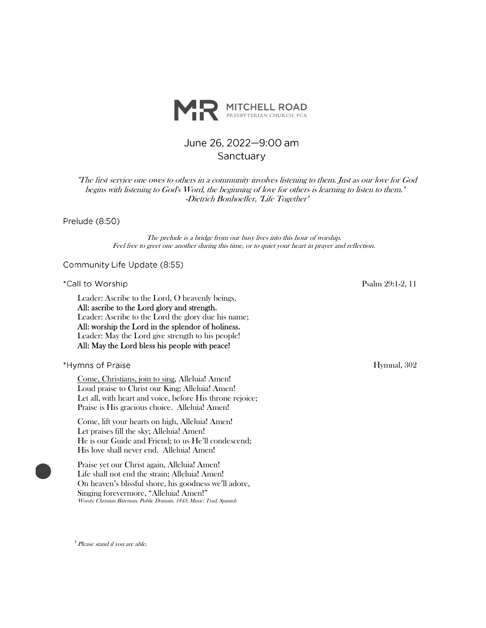

# June 26, 2022-9:00 am Sanctuary

"The first service one owes to others in a community involves listening to them. Just as our love for God begins with listening to God's Word, the beginning of love for others is learning to listen to them." -Dietrich Bonhoeffer, "Life Together"

Prelude (8:50)

The prelude is a bridge from our busy lives into this hour of worship. Feel free to greet one another during this time, or to quiet your heart in prayer and reflection.

Community Life Update (8:55)

\*Call to Worship

Leader: Ascribe to the Lord, O heavenly beings, All: ascribe to the Lord glory and strength. Leader: Ascribe to the Lord the glory due his name; All: worship the Lord in the splendor of holiness. Leader: May the Lord give strength to his people! All: May the Lord bless his people with peace!

\*Hymns of Praise

Come, Christians, join to sing, Alleluia! Amen! Loud praise to Christ our King; Alleluia! Amen! Let all, with heart and voice, before His throne rejoice; Praise is His gracious choice. Alleluia! Amen!

Come, lift your hearts on high, Alleluia! Amen! Let praises fill the sky; Alleluia! Amen! He is our Guide and Friend; to us He'll condescend; His love shall never end. Alleluia! Amen!

Praise yet our Christ again, Alleluia! Amen! Life shall not end the strain; Alleluia! Amen! On heaven's blissful shore, his goodness we'll adore, Singing forevermore, "Alleluia! Amen!" Words: Christian Bateman, Public Domain, 1843; Music: Trad. Spanish

Psalm 29:1-2, 11

Hymnal, 302

\*Please stand if you are able.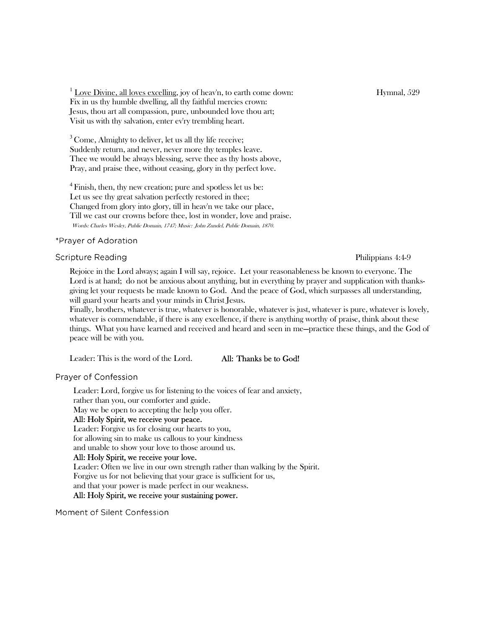<sup>1</sup> Love Divine, all loves excelling, joy of heav'n, to earth come down: Hymnal, 529 Fix in us thy humble dwelling, all thy faithful mercies crown: Jesus, thou art all compassion, pure, unbounded love thou art; Visit us with thy salvation, enter ev'ry trembling heart.

<sup>3</sup> Come, Almighty to deliver, let us all thy life receive; Suddenly return, and never, never more thy temples leave. Thee we would be always blessing, serve thee as thy hosts above, Pray, and praise thee, without ceasing, glory in thy perfect love.

<sup>4</sup> Finish, then, thy new creation; pure and spotless let us be: Let us see thy great salvation perfectly restored in thee; Changed from glory into glory, till in heav'n we take our place, Till we cast our crowns before thee, lost in wonder, love and praise. Words: Charles Wesley, Public Domain, 1747; Music: John Zundel, Public Domain, 1870.

#### \*Prayer of Adoration

#### **Scripture Reading**

Rejoice in the Lord always; again I will say, rejoice. Let your reasonableness be known to everyone. The Lord is at hand; do not be anxious about anything, but in everything by prayer and supplication with thanksgiving let your requests be made known to God. And the peace of God, which surpasses all understanding, will guard your hearts and your minds in Christ Jesus.

Finally, brothers, whatever is true, whatever is honorable, whatever is just, whatever is pure, whatever is lovely, whatever is commendable, if there is any excellence, if there is anything worthy of praise, think about these things. What you have learned and received and heard and seen in me—practice these things, and the God of peace will be with you.

Leader: This is the word of the Lord. All: Thanks be to God!

Praver of Confession

Leader: Lord, forgive us for listening to the voices of fear and anxiety, rather than you, our comforter and guide.

May we be open to accepting the help you offer.

## All: Holy Spirit, we receive your peace.

Leader: Forgive us for closing our hearts to you, for allowing sin to make us callous to your kindness and unable to show your love to those around us.

# All: Holy Spirit, we receive your love.

Leader: Often we live in our own strength rather than walking by the Spirit. Forgive us for not believing that your grace is sufficient for us, and that your power is made perfect in our weakness.

# All: Holy Spirit, we receive your sustaining power.

Moment of Silent Confession

Philippians 4:4-9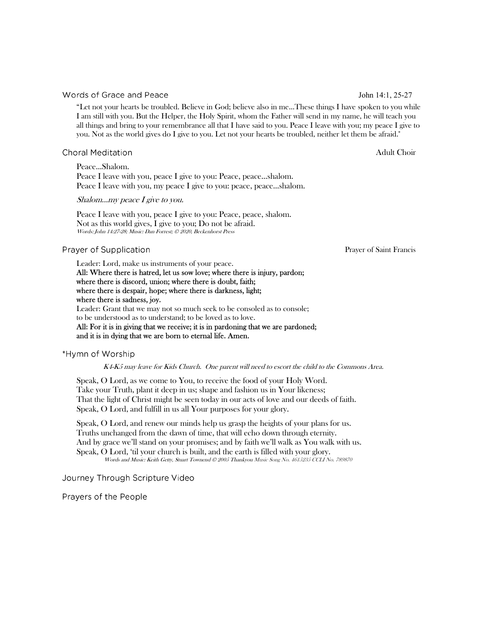#### Words of Grace and Peace

"Let not your hearts be troubled. Believe in God; believe also in me...These things I have spoken to you while I am still with you. But the Helper, the Holy Spirit, whom the Father will send in my name, he will teach you all things and bring to your remembrance all that I have said to you. Peace I leave with you; my peace I give to you. Not as the world gives do I give to you. Let not your hearts be troubled, neither let them be afraid."

## **Choral Meditation**

Peace...Shalom. Peace I leave with you, peace I give to you: Peace, peace...shalom. Peace I leave with you, my peace I give to you: peace, peace...shalom.

#### Shalom...my peace I give to you.

Peace I leave with you, peace I give to you: Peace, peace, shalom. Not as this world gives, I give to you; Do not be afraid. Words: John 14:27-28; Music: Dan Forrest; © 2020, Beckenhorst Press

#### Prayer of Supplication

Leader: Lord, make us instruments of your peace.

All: Where there is hatred, let us sow love; where there is injury, pardon; where there is discord, union; where there is doubt, faith; where there is despair, hope; where there is darkness, light; where there is sadness, joy.

Leader: Grant that we may not so much seek to be consoled as to console; to be understood as to understand; to be loved as to love.

All: For it is in giving that we receive; it is in pardoning that we are pardoned; and it is in dying that we are born to eternal life. Amen.

#### \*Hymn of Worship

K4-K5 may leave for Kids Church. One parent will need to escort the child to the Commons Area.

Speak, O Lord, as we come to You, to receive the food of your Holy Word. Take your Truth, plant it deep in us; shape and fashion us in Your likeness; That the light of Christ might be seen today in our acts of love and our deeds of faith. Speak, O Lord, and fulfill in us all Your purposes for your glory.

Speak, O Lord, and renew our minds help us grasp the heights of your plans for us. Truths unchanged from the dawn of time, that will echo down through eternity. And by grace we'll stand on your promises; and by faith we'll walk as You walk with us. Speak, O Lord, 'til your church is built, and the earth is filled with your glory. Words and Music: Keith Getty, Stuart Townend © 2005 Thankyou Music Song No. 4615235 CCLI No. 789870

Journey Through Scripture Video

Prayers of the People

Prayer of Saint Francis

John 14:1, 25-27

Adult Choir